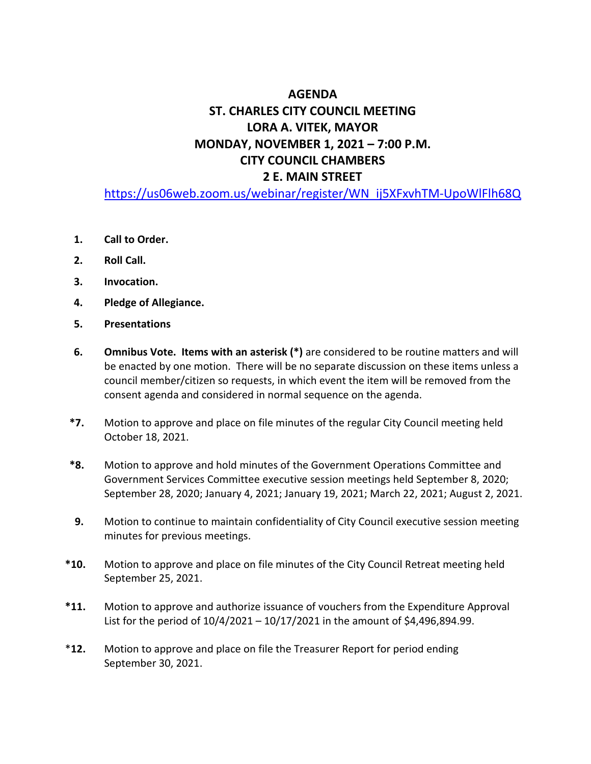# **AGENDA ST. CHARLES CITY COUNCIL MEETING LORA A. VITEK, MAYOR MONDAY, NOVEMBER 1, 2021 – 7:00 P.M. CITY COUNCIL CHAMBERS 2 E. MAIN STREET**

[https://us06web.zoom.us/webinar/register/WN\\_ij5XFxvhTM-UpoWlFlh68Q](https://us06web.zoom.us/webinar/register/WN_ij5XFxvhTM-UpoWlFlh68Q)

- **1. Call to Order.**
- **2. Roll Call.**
- **3. Invocation.**
- **4. Pledge of Allegiance.**
- **5. Presentations**
- **6. Omnibus Vote. Items with an asterisk (\*)** are considered to be routine matters and will be enacted by one motion. There will be no separate discussion on these items unless a council member/citizen so requests, in which event the item will be removed from the consent agenda and considered in normal sequence on the agenda.
- **\*7.** Motion to approve and place on file minutes of the regular City Council meeting held October 18, 2021.
- **\*8.** Motion to approve and hold minutes of the Government Operations Committee and Government Services Committee executive session meetings held September 8, 2020; September 28, 2020; January 4, 2021; January 19, 2021; March 22, 2021; August 2, 2021.
- **9.** Motion to continue to maintain confidentiality of City Council executive session meeting minutes for previous meetings.
- **\*10.** Motion to approve and place on file minutes of the City Council Retreat meeting held September 25, 2021.
- **\*11.** Motion to approve and authorize issuance of vouchers from the Expenditure Approval List for the period of 10/4/2021 – 10/17/2021 in the amount of \$4,496,894.99.
- \***12.** Motion to approve and place on file the Treasurer Report for period ending September 30, 2021.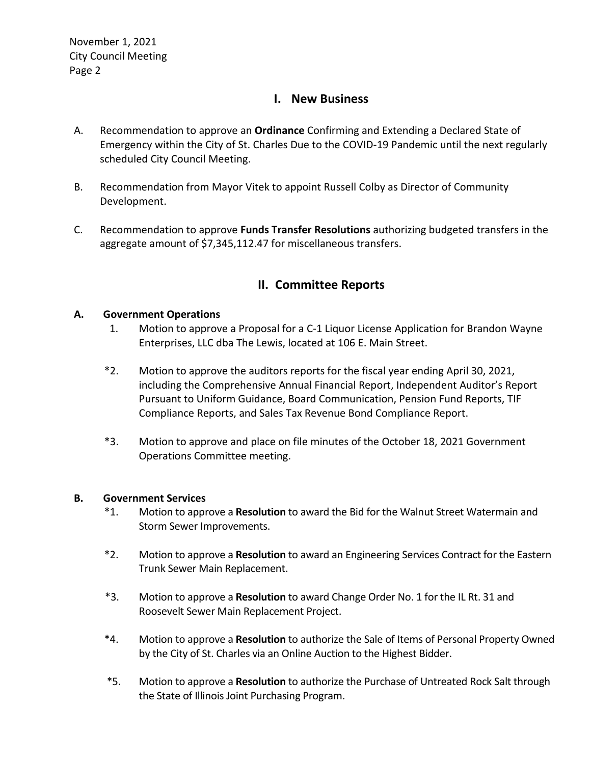# **I. New Business**

- A. Recommendation to approve an **Ordinance** Confirming and Extending a Declared State of Emergency within the City of St. Charles Due to the COVID-19 Pandemic until the next regularly scheduled City Council Meeting.
- B. Recommendation from Mayor Vitek to appoint Russell Colby as Director of Community Development.
- C. Recommendation to approve **Funds Transfer Resolutions** authorizing budgeted transfers in the aggregate amount of \$7,345,112.47 for miscellaneous transfers.

# **II. Committee Reports**

# **A. Government Operations**

- 1. Motion to approve a Proposal for a C-1 Liquor License Application for Brandon Wayne Enterprises, LLC dba The Lewis, located at 106 E. Main Street.
- \*2. Motion to approve the auditors reports for the fiscal year ending April 30, 2021, including the Comprehensive Annual Financial Report, Independent Auditor's Report Pursuant to Uniform Guidance, Board Communication, Pension Fund Reports, TIF Compliance Reports, and Sales Tax Revenue Bond Compliance Report.
- \*3. Motion to approve and place on file minutes of the October 18, 2021 Government Operations Committee meeting.

## **B. Government Services**

- \*1. Motion to approve a **Resolution** to award the Bid for the Walnut Street Watermain and Storm Sewer Improvements.
- \*2. Motion to approve a **Resolution** to award an Engineering Services Contract for the Eastern Trunk Sewer Main Replacement.
- \*3. Motion to approve a **Resolution** to award Change Order No. 1 for the IL Rt. 31 and Roosevelt Sewer Main Replacement Project.
- \*4. Motion to approve a **Resolution** to authorize the Sale of Items of Personal Property Owned by the City of St. Charles via an Online Auction to the Highest Bidder.
- \*5. Motion to approve a **Resolution** to authorize the Purchase of Untreated Rock Salt through the State of Illinois Joint Purchasing Program.